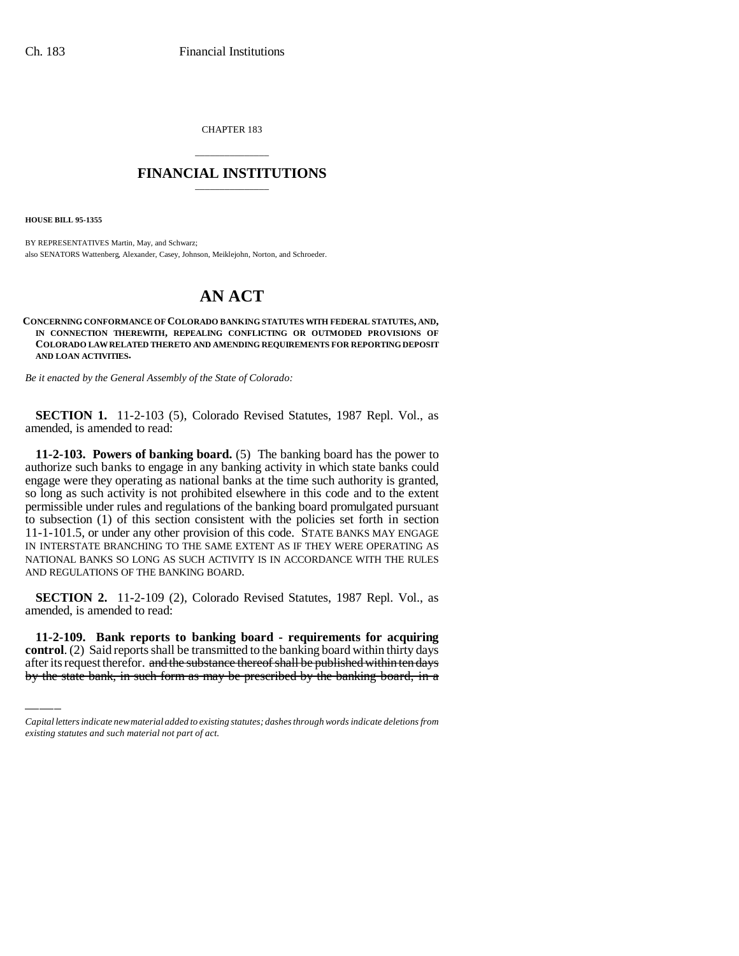CHAPTER 183

# \_\_\_\_\_\_\_\_\_\_\_\_\_\_\_ **FINANCIAL INSTITUTIONS** \_\_\_\_\_\_\_\_\_\_\_\_\_\_\_

**HOUSE BILL 95-1355**

BY REPRESENTATIVES Martin, May, and Schwarz; also SENATORS Wattenberg, Alexander, Casey, Johnson, Meiklejohn, Norton, and Schroeder.

# **AN ACT**

**CONCERNING CONFORMANCE OF COLORADO BANKING STATUTES WITH FEDERAL STATUTES, AND, IN CONNECTION THEREWITH, REPEALING CONFLICTING OR OUTMODED PROVISIONS OF COLORADO LAW RELATED THERETO AND AMENDING REQUIREMENTS FOR REPORTING DEPOSIT AND LOAN ACTIVITIES.**

*Be it enacted by the General Assembly of the State of Colorado:*

**SECTION 1.** 11-2-103 (5), Colorado Revised Statutes, 1987 Repl. Vol., as amended, is amended to read:

**11-2-103. Powers of banking board.** (5) The banking board has the power to authorize such banks to engage in any banking activity in which state banks could engage were they operating as national banks at the time such authority is granted, so long as such activity is not prohibited elsewhere in this code and to the extent permissible under rules and regulations of the banking board promulgated pursuant to subsection (1) of this section consistent with the policies set forth in section 11-1-101.5, or under any other provision of this code. STATE BANKS MAY ENGAGE IN INTERSTATE BRANCHING TO THE SAME EXTENT AS IF THEY WERE OPERATING AS NATIONAL BANKS SO LONG AS SUCH ACTIVITY IS IN ACCORDANCE WITH THE RULES AND REGULATIONS OF THE BANKING BOARD.

amended, is amended to read: **SECTION 2.** 11-2-109 (2), Colorado Revised Statutes, 1987 Repl. Vol., as

**11-2-109. Bank reports to banking board - requirements for acquiring control**. (2) Said reports shall be transmitted to the banking board within thirty days after its request therefor. and the substance thereof shall be published within ten days by the state bank, in such form as may be prescribed by the banking board, in a

*Capital letters indicate new material added to existing statutes; dashes through words indicate deletions from existing statutes and such material not part of act.*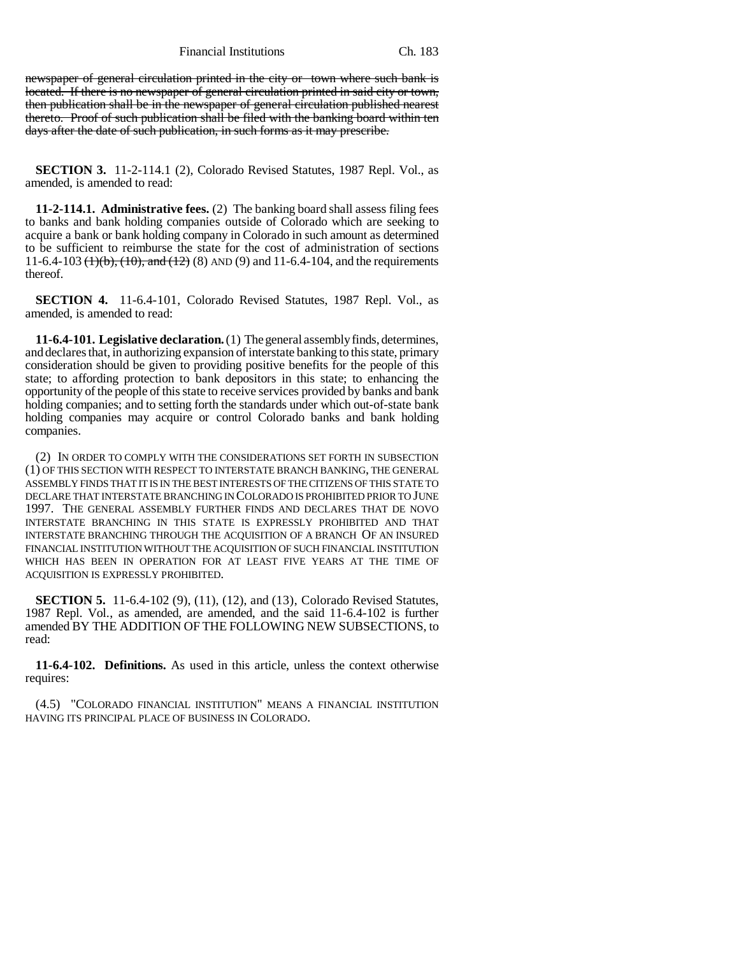Financial Institutions Ch. 183

newspaper of general circulation printed in the city or town where such bank is located. If there is no newspaper of general circulation printed in said city or town, then publication shall be in the newspaper of general circulation published nearest thereto. Proof of such publication shall be filed with the banking board within ten days after the date of such publication, in such forms as it may prescribe.

**SECTION 3.** 11-2-114.1 (2), Colorado Revised Statutes, 1987 Repl. Vol., as amended, is amended to read:

**11-2-114.1. Administrative fees.** (2) The banking board shall assess filing fees to banks and bank holding companies outside of Colorado which are seeking to acquire a bank or bank holding company in Colorado in such amount as determined to be sufficient to reimburse the state for the cost of administration of sections 11-6.4-103  $(1)$ (b),  $(10)$ , and  $(12)$  (8) AND (9) and 11-6.4-104, and the requirements thereof.

**SECTION 4.** 11-6.4-101, Colorado Revised Statutes, 1987 Repl. Vol., as amended, is amended to read:

**11-6.4-101. Legislative declaration.** (1) The general assembly finds, determines, and declares that, in authorizing expansion of interstate banking to this state, primary consideration should be given to providing positive benefits for the people of this state; to affording protection to bank depositors in this state; to enhancing the opportunity of the people of this state to receive services provided by banks and bank holding companies; and to setting forth the standards under which out-of-state bank holding companies may acquire or control Colorado banks and bank holding companies.

(2) IN ORDER TO COMPLY WITH THE CONSIDERATIONS SET FORTH IN SUBSECTION (1) OF THIS SECTION WITH RESPECT TO INTERSTATE BRANCH BANKING, THE GENERAL ASSEMBLY FINDS THAT IT IS IN THE BEST INTERESTS OF THE CITIZENS OF THIS STATE TO DECLARE THAT INTERSTATE BRANCHING IN COLORADO IS PROHIBITED PRIOR TO JUNE 1997. THE GENERAL ASSEMBLY FURTHER FINDS AND DECLARES THAT DE NOVO INTERSTATE BRANCHING IN THIS STATE IS EXPRESSLY PROHIBITED AND THAT INTERSTATE BRANCHING THROUGH THE ACQUISITION OF A BRANCH OF AN INSURED FINANCIAL INSTITUTION WITHOUT THE ACQUISITION OF SUCH FINANCIAL INSTITUTION WHICH HAS BEEN IN OPERATION FOR AT LEAST FIVE YEARS AT THE TIME OF ACQUISITION IS EXPRESSLY PROHIBITED.

**SECTION 5.** 11-6.4-102 (9), (11), (12), and (13), Colorado Revised Statutes, 1987 Repl. Vol., as amended, are amended, and the said 11-6.4-102 is further amended BY THE ADDITION OF THE FOLLOWING NEW SUBSECTIONS, to read:

**11-6.4-102. Definitions.** As used in this article, unless the context otherwise requires:

(4.5) "COLORADO FINANCIAL INSTITUTION" MEANS A FINANCIAL INSTITUTION HAVING ITS PRINCIPAL PLACE OF BUSINESS IN COLORADO.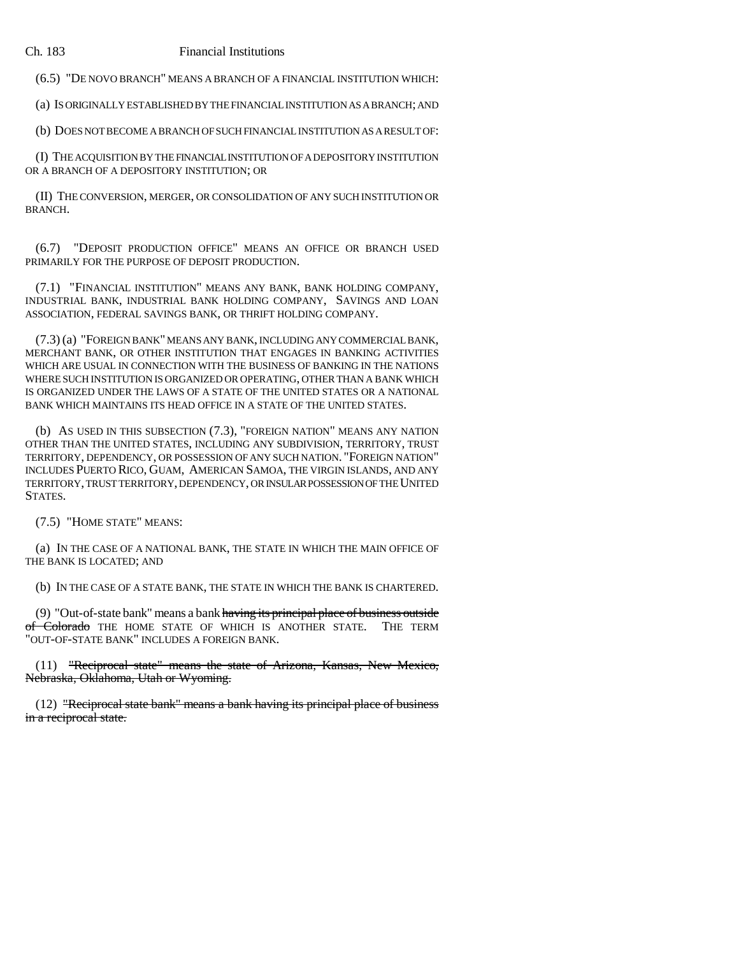(6.5) "DE NOVO BRANCH" MEANS A BRANCH OF A FINANCIAL INSTITUTION WHICH:

(a) IS ORIGINALLY ESTABLISHED BY THE FINANCIAL INSTITUTION AS A BRANCH; AND

(b) DOES NOT BECOME A BRANCH OF SUCH FINANCIAL INSTITUTION AS A RESULT OF:

(I) THE ACQUISITION BY THE FINANCIAL INSTITUTION OF A DEPOSITORY INSTITUTION OR A BRANCH OF A DEPOSITORY INSTITUTION; OR

(II) THE CONVERSION, MERGER, OR CONSOLIDATION OF ANY SUCH INSTITUTION OR BRANCH.

(6.7) "DEPOSIT PRODUCTION OFFICE" MEANS AN OFFICE OR BRANCH USED PRIMARILY FOR THE PURPOSE OF DEPOSIT PRODUCTION.

(7.1) "FINANCIAL INSTITUTION" MEANS ANY BANK, BANK HOLDING COMPANY, INDUSTRIAL BANK, INDUSTRIAL BANK HOLDING COMPANY, SAVINGS AND LOAN ASSOCIATION, FEDERAL SAVINGS BANK, OR THRIFT HOLDING COMPANY.

(7.3) (a) "FOREIGN BANK" MEANS ANY BANK, INCLUDING ANY COMMERCIAL BANK, MERCHANT BANK, OR OTHER INSTITUTION THAT ENGAGES IN BANKING ACTIVITIES WHICH ARE USUAL IN CONNECTION WITH THE BUSINESS OF BANKING IN THE NATIONS WHERE SUCH INSTITUTION IS ORGANIZED OR OPERATING, OTHER THAN A BANK WHICH IS ORGANIZED UNDER THE LAWS OF A STATE OF THE UNITED STATES OR A NATIONAL BANK WHICH MAINTAINS ITS HEAD OFFICE IN A STATE OF THE UNITED STATES.

(b) AS USED IN THIS SUBSECTION (7.3), "FOREIGN NATION" MEANS ANY NATION OTHER THAN THE UNITED STATES, INCLUDING ANY SUBDIVISION, TERRITORY, TRUST TERRITORY, DEPENDENCY, OR POSSESSION OF ANY SUCH NATION. "FOREIGN NATION" INCLUDES PUERTO RICO, GUAM, AMERICAN SAMOA, THE VIRGIN ISLANDS, AND ANY TERRITORY, TRUST TERRITORY, DEPENDENCY, OR INSULAR POSSESSION OF THE UNITED STATES.

(7.5) "HOME STATE" MEANS:

(a) IN THE CASE OF A NATIONAL BANK, THE STATE IN WHICH THE MAIN OFFICE OF THE BANK IS LOCATED; AND

(b) IN THE CASE OF A STATE BANK, THE STATE IN WHICH THE BANK IS CHARTERED.

(9) "Out-of-state bank" means a bank having its principal place of business outside of Colorado THE HOME STATE OF WHICH IS ANOTHER STATE. THE TERM "OUT-OF-STATE BANK" INCLUDES A FOREIGN BANK.

(11) "Reciprocal state" means the state of Arizona, Kansas, New Mexico, Nebraska, Oklahoma, Utah or Wyoming.

(12) "Reciprocal state bank" means a bank having its principal place of business in a reciprocal state.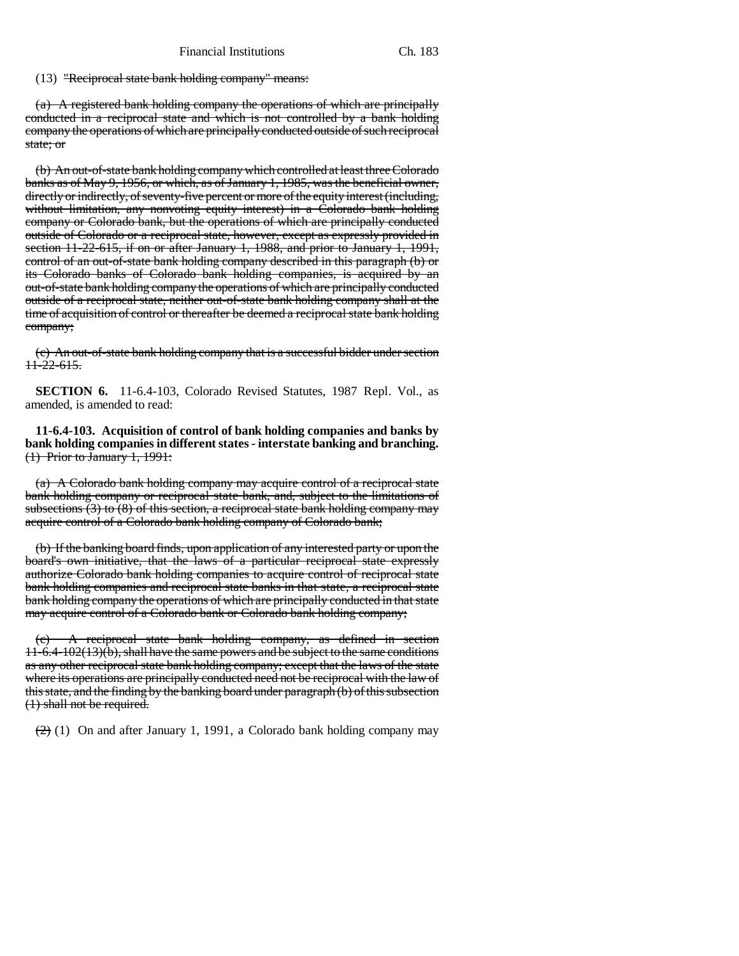(13) "Reciprocal state bank holding company" means:

(a) A registered bank holding company the operations of which are principally conducted in a reciprocal state and which is not controlled by a bank holding company the operations of which are principally conducted outside of such reciprocal state; or

(b) An out-of-state bank holding company which controlled at least three Colorado banks as of May 9, 1956, or which, as of January 1, 1985, was the beneficial owner, directly or indirectly, of seventy-five percent or more of the equity interest (including, without limitation, any nonvoting equity interest) in a Colorado bank holding company or Colorado bank, but the operations of which are principally conducted outside of Colorado or a reciprocal state, however, except as expressly provided in section 11-22-615, if on or after January 1, 1988, and prior to January 1, 1991, control of an out-of-state bank holding company described in this paragraph (b) or its Colorado banks of Colorado bank holding companies, is acquired by an out-of-state bank holding company the operations of which are principally conducted outside of a reciprocal state, neither out-of-state bank holding company shall at the time of acquisition of control or thereafter be deemed a reciprocal state bank holding company;

(c) An out-of-state bank holding company that is a successful bidder under section 11-22-615.

**SECTION 6.** 11-6.4-103, Colorado Revised Statutes, 1987 Repl. Vol., as amended, is amended to read:

**11-6.4-103. Acquisition of control of bank holding companies and banks by bank holding companies in different states - interstate banking and branching.** (1) Prior to January 1, 1991:

(a) A Colorado bank holding company may acquire control of a reciprocal state bank holding company or reciprocal state bank, and, subject to the limitations of subsections (3) to (8) of this section, a reciprocal state bank holding company may acquire control of a Colorado bank holding company of Colorado bank;

(b) If the banking board finds, upon application of any interested party or upon the board's own initiative, that the laws of a particular reciprocal state expressly authorize Colorado bank holding companies to acquire control of reciprocal state bank holding companies and reciprocal state banks in that state, a reciprocal state bank holding company the operations of which are principally conducted in that state may acquire control of a Colorado bank or Colorado bank holding company;

A reciprocal state bank holding company, as defined in section 11-6.4-102(13)(b), shall have the same powers and be subject to the same conditions as any other reciprocal state bank holding company; except that the laws of the state where its operations are principally conducted need not be reciprocal with the law of this state, and the finding by the banking board under paragraph (b) of this subsection (1) shall not be required.

 $(2)$  (1) On and after January 1, 1991, a Colorado bank holding company may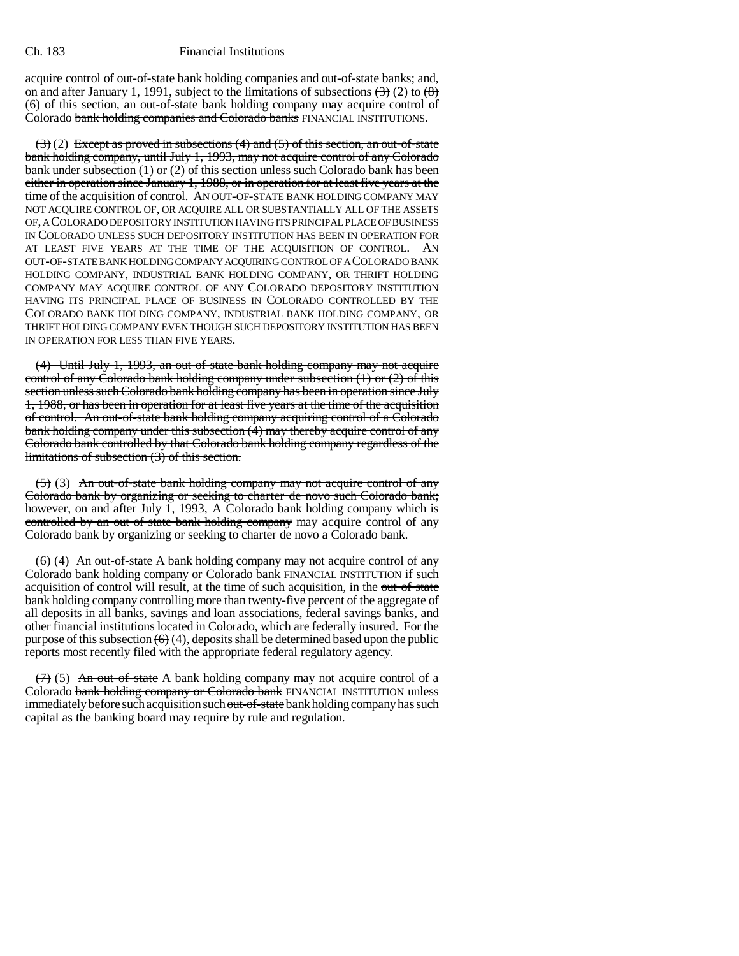acquire control of out-of-state bank holding companies and out-of-state banks; and, on and after January 1, 1991, subject to the limitations of subsections  $\left(\frac{3}{2}\right)$  (2) to  $\left(\frac{8}{2}\right)$ (6) of this section, an out-of-state bank holding company may acquire control of Colorado bank holding companies and Colorado banks FINANCIAL INSTITUTIONS.

 $(3)(2)$  Except as proved in subsections (4) and (5) of this section, an out-of-state bank holding company, until July 1, 1993, may not acquire control of any Colorado bank under subsection (1) or (2) of this section unless such Colorado bank has been either in operation since January 1, 1988, or in operation for at least five years at the time of the acquisition of control. AN OUT-OF-STATE BANK HOLDING COMPANY MAY NOT ACQUIRE CONTROL OF, OR ACQUIRE ALL OR SUBSTANTIALLY ALL OF THE ASSETS OF, A COLORADO DEPOSITORY INSTITUTION HAVING ITS PRINCIPAL PLACE OF BUSINESS IN COLORADO UNLESS SUCH DEPOSITORY INSTITUTION HAS BEEN IN OPERATION FOR AT LEAST FIVE YEARS AT THE TIME OF THE ACQUISITION OF CONTROL. AN OUT-OF-STATE BANK HOLDING COMPANY ACQUIRING CONTROL OF A COLORADO BANK HOLDING COMPANY, INDUSTRIAL BANK HOLDING COMPANY, OR THRIFT HOLDING COMPANY MAY ACQUIRE CONTROL OF ANY COLORADO DEPOSITORY INSTITUTION HAVING ITS PRINCIPAL PLACE OF BUSINESS IN COLORADO CONTROLLED BY THE COLORADO BANK HOLDING COMPANY, INDUSTRIAL BANK HOLDING COMPANY, OR THRIFT HOLDING COMPANY EVEN THOUGH SUCH DEPOSITORY INSTITUTION HAS BEEN IN OPERATION FOR LESS THAN FIVE YEARS.

(4) Until July 1, 1993, an out-of-state bank holding company may not acquire control of any Colorado bank holding company under subsection  $(1)$  or  $(2)$  of this section unless such Colorado bank holding company has been in operation since July 1, 1988, or has been in operation for at least five years at the time of the acquisition of control. An out-of-state bank holding company acquiring control of a Colorado bank holding company under this subsection  $(\hat{4})$  may thereby acquire control of any Colorado bank controlled by that Colorado bank holding company regardless of the limitations of subsection (3) of this section.

(5) (3) An out-of-state bank holding company may not acquire control of any Colorado bank by organizing or seeking to charter de novo such Colorado bank; however, on and after July 1, 1993, A Colorado bank holding company which is controlled by an out-of-state bank holding company may acquire control of any Colorado bank by organizing or seeking to charter de novo a Colorado bank.

 $(6)$  (4) An out-of-state A bank holding company may not acquire control of any Colorado bank holding company or Colorado bank FINANCIAL INSTITUTION if such acquisition of control will result, at the time of such acquisition, in the out-of-state bank holding company controlling more than twenty-five percent of the aggregate of all deposits in all banks, savings and loan associations, federal savings banks, and other financial institutions located in Colorado, which are federally insured. For the purpose of this subsection  $(6)(4)$ , deposits shall be determined based upon the public reports most recently filed with the appropriate federal regulatory agency.

 $(7)$  (5) An out-of-state A bank holding company may not acquire control of a Colorado bank holding company or Colorado bank FINANCIAL INSTITUTION unless immediately before such acquisition such out-of-state bank holding company has such capital as the banking board may require by rule and regulation.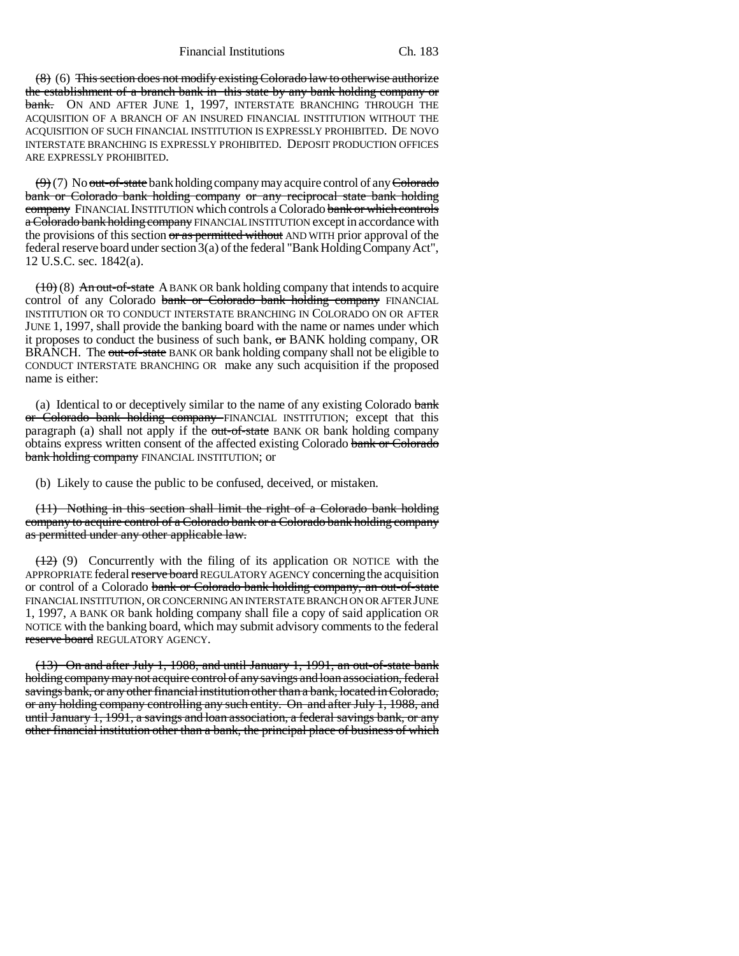Financial Institutions Ch. 183

 $(8)$  (6) This section does not modify existing Colorado law to otherwise authorize the establishment of a branch bank in this state by any bank holding company or **bank.** ON AND AFTER JUNE 1, 1997, INTERSTATE BRANCHING THROUGH THE ACQUISITION OF A BRANCH OF AN INSURED FINANCIAL INSTITUTION WITHOUT THE ACQUISITION OF SUCH FINANCIAL INSTITUTION IS EXPRESSLY PROHIBITED. DE NOVO INTERSTATE BRANCHING IS EXPRESSLY PROHIBITED. DEPOSIT PRODUCTION OFFICES ARE EXPRESSLY PROHIBITED.

 $(9)$  (7) No <del>out-of-state</del> bank holding company may acquire control of any Colorado bank or Colorado bank holding company or any reciprocal state bank holding company FINANCIAL INSTITUTION which controls a Colorado bank or which controls a Colorado bank holding company FINANCIAL INSTITUTION except in accordance with the provisions of this section or as permitted without AND WITH prior approval of the federal reserve board under section 3(a) of the federal "Bank Holding Company Act", 12 U.S.C. sec. 1842(a).

 $(10)(8)$  An out-of-state A BANK OR bank holding company that intends to acquire control of any Colorado bank or Colorado bank holding company FINANCIAL INSTITUTION OR TO CONDUCT INTERSTATE BRANCHING IN COLORADO ON OR AFTER JUNE 1, 1997, shall provide the banking board with the name or names under which it proposes to conduct the business of such bank, or BANK holding company, OR BRANCH. The out-of-state BANK OR bank holding company shall not be eligible to CONDUCT INTERSTATE BRANCHING OR make any such acquisition if the proposed name is either:

(a) Identical to or deceptively similar to the name of any existing Colorado  $bank$ or Colorado bank holding company FINANCIAL INSTITUTION; except that this paragraph (a) shall not apply if the out-of-state BANK OR bank holding company obtains express written consent of the affected existing Colorado bank or Colorado bank holding company FINANCIAL INSTITUTION; or

(b) Likely to cause the public to be confused, deceived, or mistaken.

(11) Nothing in this section shall limit the right of a Colorado bank holding company to acquire control of a Colorado bank or a Colorado bank holding company as permitted under any other applicable law.

 $(12)$  (9) Concurrently with the filing of its application OR NOTICE with the APPROPRIATE federal reserve board REGULATORY AGENCY concerning the acquisition or control of a Colorado bank or Colorado bank holding company, an out-of-state FINANCIAL INSTITUTION, OR CONCERNING AN INTERSTATE BRANCH ON OR AFTER JUNE 1, 1997, A BANK OR bank holding company shall file a copy of said application OR NOTICE with the banking board, which may submit advisory comments to the federal reserve board REGULATORY AGENCY.

(13) On and after July 1, 1988, and until January 1, 1991, an out-of-state bank holding company may not acquire control of any savings and loan association, federal savings bank, or any other financial institution other than a bank, located in Colorado, or any holding company controlling any such entity. On and after July 1, 1988, and until January 1, 1991, a savings and loan association, a federal savings bank, or any other financial institution other than a bank, the principal place of business of which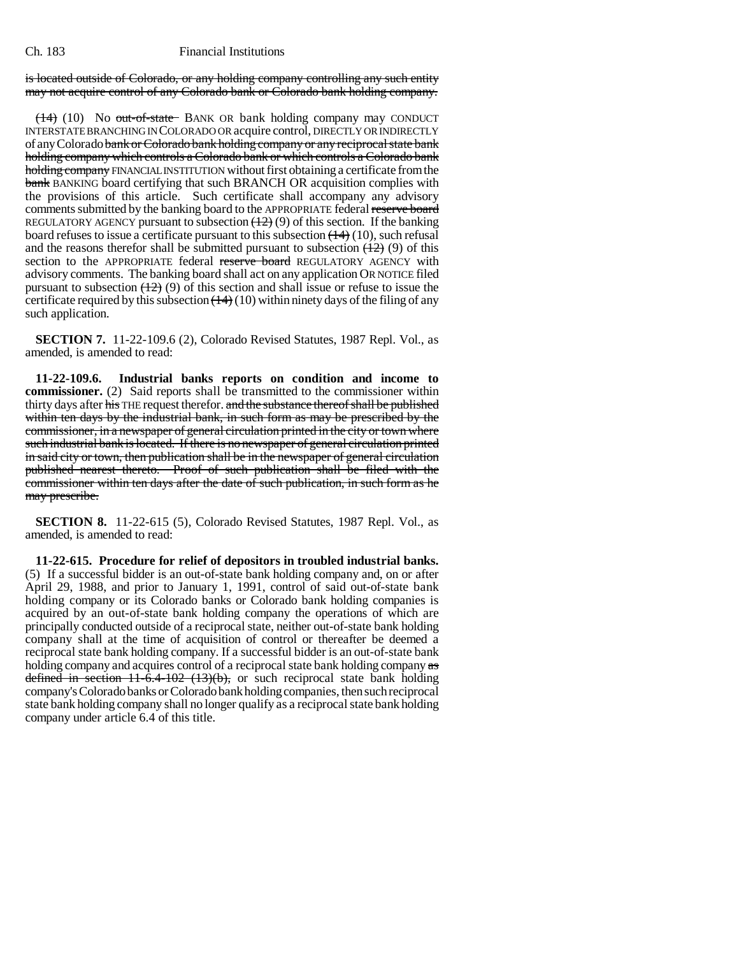is located outside of Colorado, or any holding company controlling any such entity may not acquire control of any Colorado bank or Colorado bank holding company.

(14) (10) No out-of-state BANK OR bank holding company may CONDUCT INTERSTATE BRANCHING IN COLORADO OR acquire control, DIRECTLY OR INDIRECTLY of any Colorado bank or Colorado bank holding company or any reciprocal state bank holding company which controls a Colorado bank or which controls a Colorado bank holding company FINANCIAL INSTITUTION without first obtaining a certificate from the bank BANKING board certifying that such BRANCH OR acquisition complies with the provisions of this article. Such certificate shall accompany any advisory comments submitted by the banking board to the APPROPRIATE federal reserve board REGULATORY AGENCY pursuant to subsection  $(12)(9)$  of this section. If the banking board refuses to issue a certificate pursuant to this subsection  $(\frac{14}{10})$ , such refusal and the reasons therefor shall be submitted pursuant to subsection  $(12)(9)$  of this section to the APPROPRIATE federal reserve board REGULATORY AGENCY with advisory comments. The banking board shall act on any application OR NOTICE filed pursuant to subsection  $(12)$  (9) of this section and shall issue or refuse to issue the certificate required by this subsection  $(14)(10)$  within ninety days of the filing of any such application.

**SECTION 7.** 11-22-109.6 (2), Colorado Revised Statutes, 1987 Repl. Vol., as amended, is amended to read:

**11-22-109.6. Industrial banks reports on condition and income to commissioner.** (2) Said reports shall be transmitted to the commissioner within thirty days after his THE request therefor. and the substance thereof shall be published within ten days by the industrial bank, in such form as may be prescribed by the commissioner, in a newspaper of general circulation printed in the city or town where such industrial bank is located. If there is no newspaper of general circulation printed in said city or town, then publication shall be in the newspaper of general circulation published nearest thereto. Proof of such publication shall be filed with the commissioner within ten days after the date of such publication, in such form as he may prescribe.

**SECTION 8.** 11-22-615 (5), Colorado Revised Statutes, 1987 Repl. Vol., as amended, is amended to read:

**11-22-615. Procedure for relief of depositors in troubled industrial banks.** (5) If a successful bidder is an out-of-state bank holding company and, on or after April 29, 1988, and prior to January 1, 1991, control of said out-of-state bank holding company or its Colorado banks or Colorado bank holding companies is acquired by an out-of-state bank holding company the operations of which are principally conducted outside of a reciprocal state, neither out-of-state bank holding company shall at the time of acquisition of control or thereafter be deemed a reciprocal state bank holding company. If a successful bidder is an out-of-state bank holding company and acquires control of a reciprocal state bank holding company as defined in section  $11-6.4-102$   $(13)(b)$ , or such reciprocal state bank holding company's Colorado banks or Colorado bank holding companies, then such reciprocal state bank holding company shall no longer qualify as a reciprocal state bank holding company under article 6.4 of this title.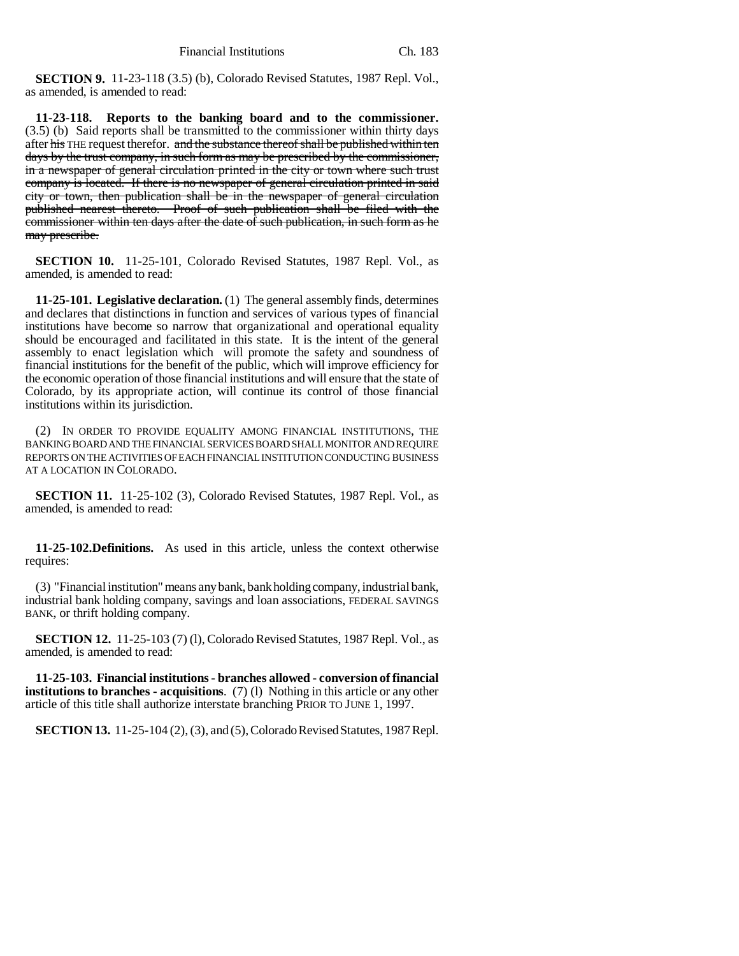**SECTION 9.** 11-23-118 (3.5) (b), Colorado Revised Statutes, 1987 Repl. Vol., as amended, is amended to read:

**11-23-118. Reports to the banking board and to the commissioner.** (3.5) (b) Said reports shall be transmitted to the commissioner within thirty days after his THE request therefor. and the substance thereof shall be published within ten days by the trust company, in such form as may be prescribed by the commissioner, in a newspaper of general circulation printed in the city or town where such trust company is located. If there is no newspaper of general circulation printed in said city or town, then publication shall be in the newspaper of general circulation published nearest thereto. Proof of such publication shall be filed with the commissioner within ten days after the date of such publication, in such form as he may prescribe.

**SECTION 10.** 11-25-101, Colorado Revised Statutes, 1987 Repl. Vol., as amended, is amended to read:

**11-25-101. Legislative declaration.** (1) The general assembly finds, determines and declares that distinctions in function and services of various types of financial institutions have become so narrow that organizational and operational equality should be encouraged and facilitated in this state. It is the intent of the general assembly to enact legislation which will promote the safety and soundness of financial institutions for the benefit of the public, which will improve efficiency for the economic operation of those financial institutions and will ensure that the state of Colorado, by its appropriate action, will continue its control of those financial institutions within its jurisdiction.

(2) IN ORDER TO PROVIDE EQUALITY AMONG FINANCIAL INSTITUTIONS, THE BANKING BOARD AND THE FINANCIAL SERVICES BOARD SHALL MONITOR AND REQUIRE REPORTS ON THE ACTIVITIES OF EACH FINANCIAL INSTITUTION CONDUCTING BUSINESS AT A LOCATION IN COLORADO.

**SECTION 11.** 11-25-102 (3), Colorado Revised Statutes, 1987 Repl. Vol., as amended, is amended to read:

**11-25-102.Definitions.** As used in this article, unless the context otherwise requires:

(3) "Financial institution" means any bank, bank holding company, industrial bank, industrial bank holding company, savings and loan associations, FEDERAL SAVINGS BANK, or thrift holding company.

**SECTION 12.** 11-25-103 (7) (l), Colorado Revised Statutes, 1987 Repl. Vol., as amended, is amended to read:

**11-25-103. Financial institutions - branches allowed - conversion of financial institutions to branches - acquisitions**. (7) (l) Nothing in this article or any other article of this title shall authorize interstate branching PRIOR TO JUNE 1, 1997.

**SECTION 13.** 11-25-104 (2), (3), and (5), Colorado Revised Statutes, 1987 Repl.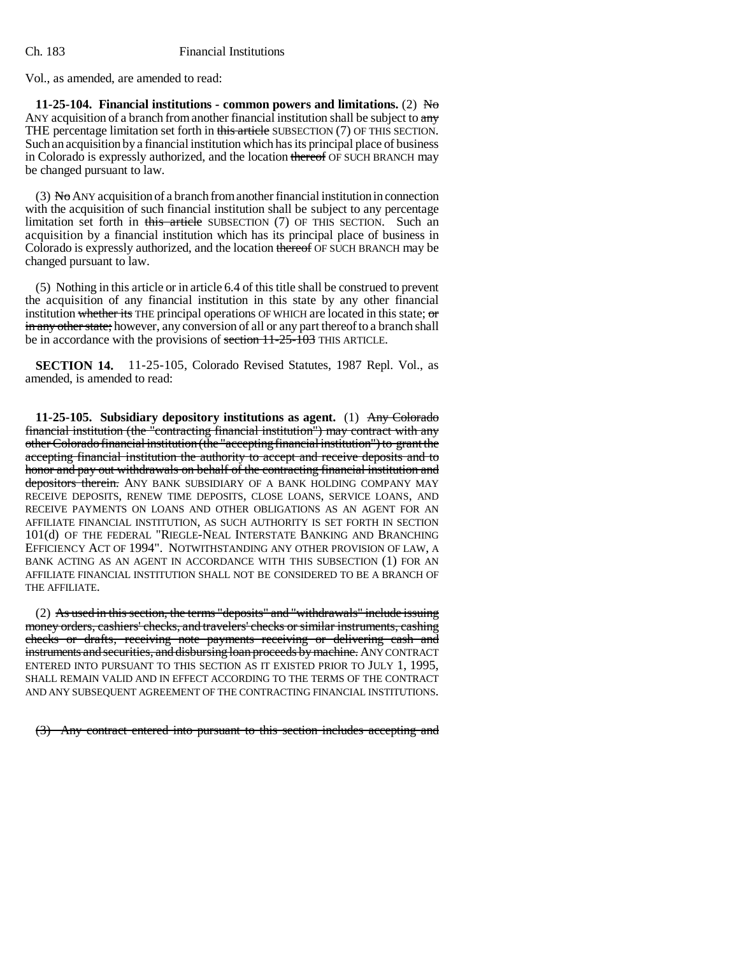Vol., as amended, are amended to read:

**11-25-104. Financial institutions - common powers and limitations.** (2) No ANY acquisition of a branch from another financial institution shall be subject to any THE percentage limitation set forth in this article SUBSECTION (7) OF THIS SECTION. Such an acquisition by a financial institution which has its principal place of business in Colorado is expressly authorized, and the location thereof OF SUCH BRANCH may be changed pursuant to law.

(3) No ANY acquisition of a branch from another financial institution in connection with the acquisition of such financial institution shall be subject to any percentage limitation set forth in this article SUBSECTION (7) OF THIS SECTION. Such an acquisition by a financial institution which has its principal place of business in Colorado is expressly authorized, and the location thereof OF SUCH BRANCH may be changed pursuant to law.

(5) Nothing in this article or in article 6.4 of this title shall be construed to prevent the acquisition of any financial institution in this state by any other financial institution whether its THE principal operations OF WHICH are located in this state; or in any other state; however, any conversion of all or any part thereof to a branch shall be in accordance with the provisions of section  $11-25-103$  THIS ARTICLE.

**SECTION 14.** 11-25-105, Colorado Revised Statutes, 1987 Repl. Vol., as amended, is amended to read:

**11-25-105. Subsidiary depository institutions as agent.** (1) Any Colorado financial institution (the "contracting financial institution") may contract with any other Colorado financial institution (the "accepting financial institution") to grant the accepting financial institution the authority to accept and receive deposits and to honor and pay out withdrawals on behalf of the contracting financial institution and depositors therein. ANY BANK SUBSIDIARY OF A BANK HOLDING COMPANY MAY RECEIVE DEPOSITS, RENEW TIME DEPOSITS, CLOSE LOANS, SERVICE LOANS, AND RECEIVE PAYMENTS ON LOANS AND OTHER OBLIGATIONS AS AN AGENT FOR AN AFFILIATE FINANCIAL INSTITUTION, AS SUCH AUTHORITY IS SET FORTH IN SECTION 101(d) OF THE FEDERAL "RIEGLE-NEAL INTERSTATE BANKING AND BRANCHING EFFICIENCY ACT OF 1994". NOTWITHSTANDING ANY OTHER PROVISION OF LAW, A BANK ACTING AS AN AGENT IN ACCORDANCE WITH THIS SUBSECTION (1) FOR AN AFFILIATE FINANCIAL INSTITUTION SHALL NOT BE CONSIDERED TO BE A BRANCH OF THE AFFILIATE.

(2) As used in this section, the terms "deposits" and "withdrawals" include issuing money orders, cashiers' checks, and travelers' checks or similar instruments, cashing checks or drafts, receiving note payments receiving or delivering cash and instruments and securities, and disbursing loan proceeds by machine. ANY CONTRACT ENTERED INTO PURSUANT TO THIS SECTION AS IT EXISTED PRIOR TO JULY 1, 1995, SHALL REMAIN VALID AND IN EFFECT ACCORDING TO THE TERMS OF THE CONTRACT AND ANY SUBSEQUENT AGREEMENT OF THE CONTRACTING FINANCIAL INSTITUTIONS.

(3) Any contract entered into pursuant to this section includes accepting and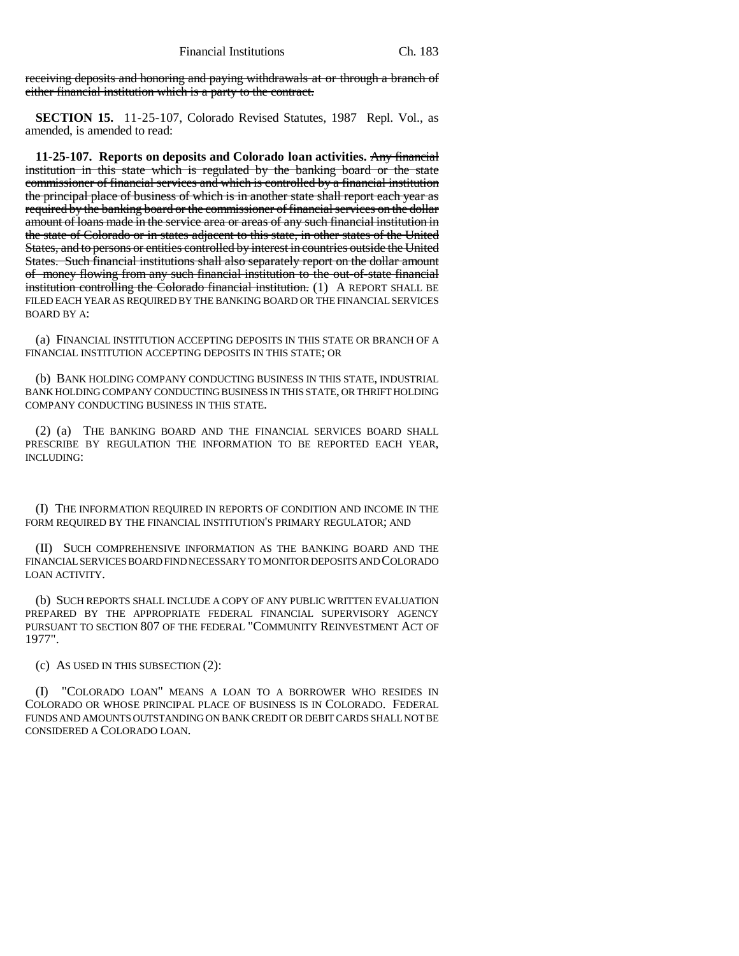receiving deposits and honoring and paying withdrawals at or through a branch of either financial institution which is a party to the contract.

**SECTION 15.** 11-25-107, Colorado Revised Statutes, 1987 Repl. Vol., as amended, is amended to read:

**11-25-107. Reports on deposits and Colorado loan activities.** Any financial institution in this state which is regulated by the banking board or the state commissioner of financial services and which is controlled by a financial institution the principal place of business of which is in another state shall report each year as required by the banking board or the commissioner of financial services on the dollar amount of loans made in the service area or areas of any such financial institution in the state of Colorado or in states adjacent to this state, in other states of the United States, and to persons or entities controlled by interest in countries outside the United States. Such financial institutions shall also separately report on the dollar amount of money flowing from any such financial institution to the out-of-state financial institution controlling the Colorado financial institution. (1) A REPORT SHALL BE FILED EACH YEAR AS REQUIRED BY THE BANKING BOARD OR THE FINANCIAL SERVICES BOARD BY A:

(a) FINANCIAL INSTITUTION ACCEPTING DEPOSITS IN THIS STATE OR BRANCH OF A FINANCIAL INSTITUTION ACCEPTING DEPOSITS IN THIS STATE; OR

(b) BANK HOLDING COMPANY CONDUCTING BUSINESS IN THIS STATE, INDUSTRIAL BANK HOLDING COMPANY CONDUCTING BUSINESS IN THIS STATE, OR THRIFT HOLDING COMPANY CONDUCTING BUSINESS IN THIS STATE.

(2) (a) THE BANKING BOARD AND THE FINANCIAL SERVICES BOARD SHALL PRESCRIBE BY REGULATION THE INFORMATION TO BE REPORTED EACH YEAR, INCLUDING:

(I) THE INFORMATION REQUIRED IN REPORTS OF CONDITION AND INCOME IN THE FORM REQUIRED BY THE FINANCIAL INSTITUTION'S PRIMARY REGULATOR; AND

(II) SUCH COMPREHENSIVE INFORMATION AS THE BANKING BOARD AND THE FINANCIAL SERVICES BOARD FIND NECESSARY TO MONITOR DEPOSITS AND COLORADO LOAN ACTIVITY.

(b) SUCH REPORTS SHALL INCLUDE A COPY OF ANY PUBLIC WRITTEN EVALUATION PREPARED BY THE APPROPRIATE FEDERAL FINANCIAL SUPERVISORY AGENCY PURSUANT TO SECTION 807 OF THE FEDERAL "COMMUNITY REINVESTMENT ACT OF 1977".

(c) AS USED IN THIS SUBSECTION (2):

"COLORADO LOAN" MEANS A LOAN TO A BORROWER WHO RESIDES IN COLORADO OR WHOSE PRINCIPAL PLACE OF BUSINESS IS IN COLORADO. FEDERAL FUNDS AND AMOUNTS OUTSTANDING ON BANK CREDIT OR DEBIT CARDS SHALL NOT BE CONSIDERED A COLORADO LOAN.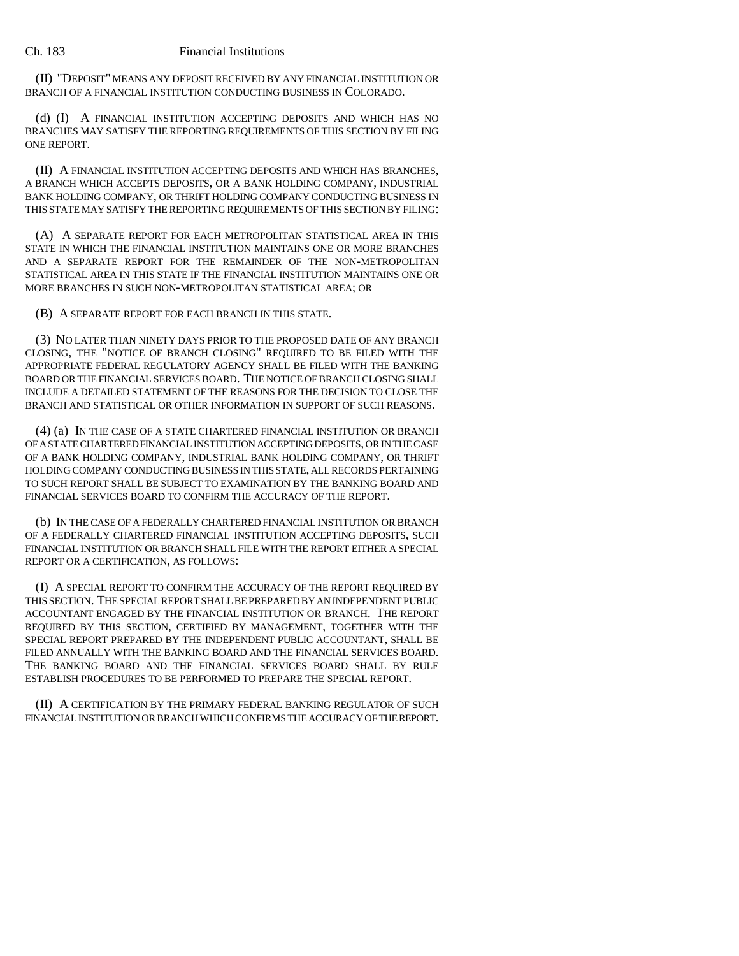(II) "DEPOSIT" MEANS ANY DEPOSIT RECEIVED BY ANY FINANCIAL INSTITUTION OR BRANCH OF A FINANCIAL INSTITUTION CONDUCTING BUSINESS IN COLORADO.

(d) (I) A FINANCIAL INSTITUTION ACCEPTING DEPOSITS AND WHICH HAS NO BRANCHES MAY SATISFY THE REPORTING REQUIREMENTS OF THIS SECTION BY FILING ONE REPORT.

(II) A FINANCIAL INSTITUTION ACCEPTING DEPOSITS AND WHICH HAS BRANCHES, A BRANCH WHICH ACCEPTS DEPOSITS, OR A BANK HOLDING COMPANY, INDUSTRIAL BANK HOLDING COMPANY, OR THRIFT HOLDING COMPANY CONDUCTING BUSINESS IN THIS STATE MAY SATISFY THE REPORTING REQUIREMENTS OF THIS SECTION BY FILING:

(A) A SEPARATE REPORT FOR EACH METROPOLITAN STATISTICAL AREA IN THIS STATE IN WHICH THE FINANCIAL INSTITUTION MAINTAINS ONE OR MORE BRANCHES AND A SEPARATE REPORT FOR THE REMAINDER OF THE NON-METROPOLITAN STATISTICAL AREA IN THIS STATE IF THE FINANCIAL INSTITUTION MAINTAINS ONE OR MORE BRANCHES IN SUCH NON-METROPOLITAN STATISTICAL AREA; OR

(B) A SEPARATE REPORT FOR EACH BRANCH IN THIS STATE.

(3) NO LATER THAN NINETY DAYS PRIOR TO THE PROPOSED DATE OF ANY BRANCH CLOSING, THE "NOTICE OF BRANCH CLOSING" REQUIRED TO BE FILED WITH THE APPROPRIATE FEDERAL REGULATORY AGENCY SHALL BE FILED WITH THE BANKING BOARD OR THE FINANCIAL SERVICES BOARD. THE NOTICE OF BRANCH CLOSING SHALL INCLUDE A DETAILED STATEMENT OF THE REASONS FOR THE DECISION TO CLOSE THE BRANCH AND STATISTICAL OR OTHER INFORMATION IN SUPPORT OF SUCH REASONS.

(4) (a) IN THE CASE OF A STATE CHARTERED FINANCIAL INSTITUTION OR BRANCH OF A STATE CHARTERED FINANCIAL INSTITUTION ACCEPTING DEPOSITS, OR IN THE CASE OF A BANK HOLDING COMPANY, INDUSTRIAL BANK HOLDING COMPANY, OR THRIFT HOLDING COMPANY CONDUCTING BUSINESS IN THIS STATE, ALL RECORDS PERTAINING TO SUCH REPORT SHALL BE SUBJECT TO EXAMINATION BY THE BANKING BOARD AND FINANCIAL SERVICES BOARD TO CONFIRM THE ACCURACY OF THE REPORT.

(b) IN THE CASE OF A FEDERALLY CHARTERED FINANCIAL INSTITUTION OR BRANCH OF A FEDERALLY CHARTERED FINANCIAL INSTITUTION ACCEPTING DEPOSITS, SUCH FINANCIAL INSTITUTION OR BRANCH SHALL FILE WITH THE REPORT EITHER A SPECIAL REPORT OR A CERTIFICATION, AS FOLLOWS:

(I) A SPECIAL REPORT TO CONFIRM THE ACCURACY OF THE REPORT REQUIRED BY THIS SECTION. THE SPECIAL REPORT SHALL BE PREPARED BY AN INDEPENDENT PUBLIC ACCOUNTANT ENGAGED BY THE FINANCIAL INSTITUTION OR BRANCH. THE REPORT REQUIRED BY THIS SECTION, CERTIFIED BY MANAGEMENT, TOGETHER WITH THE SPECIAL REPORT PREPARED BY THE INDEPENDENT PUBLIC ACCOUNTANT, SHALL BE FILED ANNUALLY WITH THE BANKING BOARD AND THE FINANCIAL SERVICES BOARD. THE BANKING BOARD AND THE FINANCIAL SERVICES BOARD SHALL BY RULE ESTABLISH PROCEDURES TO BE PERFORMED TO PREPARE THE SPECIAL REPORT.

(II) A CERTIFICATION BY THE PRIMARY FEDERAL BANKING REGULATOR OF SUCH FINANCIAL INSTITUTION OR BRANCH WHICH CONFIRMS THE ACCURACY OF THE REPORT.